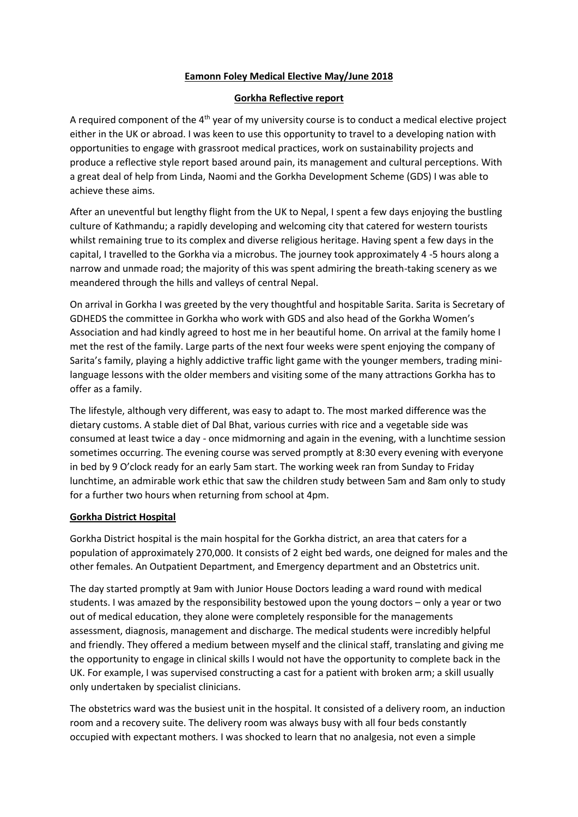# **Eamonn Foley Medical Elective May/June 2018**

### **Gorkha Reflective report**

A required component of the  $4<sup>th</sup>$  year of my university course is to conduct a medical elective project either in the UK or abroad. I was keen to use this opportunity to travel to a developing nation with opportunities to engage with grassroot medical practices, work on sustainability projects and produce a reflective style report based around pain, its management and cultural perceptions. With a great deal of help from Linda, Naomi and the Gorkha Development Scheme (GDS) I was able to achieve these aims.

After an uneventful but lengthy flight from the UK to Nepal, I spent a few days enjoying the bustling culture of Kathmandu; a rapidly developing and welcoming city that catered for western tourists whilst remaining true to its complex and diverse religious heritage. Having spent a few days in the capital, I travelled to the Gorkha via a microbus. The journey took approximately 4 -5 hours along a narrow and unmade road; the majority of this was spent admiring the breath-taking scenery as we meandered through the hills and valleys of central Nepal.

On arrival in Gorkha I was greeted by the very thoughtful and hospitable Sarita. Sarita is Secretary of GDHEDS the committee in Gorkha who work with GDS and also head of the Gorkha Women's Association and had kindly agreed to host me in her beautiful home. On arrival at the family home I met the rest of the family. Large parts of the next four weeks were spent enjoying the company of Sarita's family, playing a highly addictive traffic light game with the younger members, trading minilanguage lessons with the older members and visiting some of the many attractions Gorkha has to offer as a family.

The lifestyle, although very different, was easy to adapt to. The most marked difference was the dietary customs. A stable diet of Dal Bhat, various curries with rice and a vegetable side was consumed at least twice a day - once midmorning and again in the evening, with a lunchtime session sometimes occurring. The evening course was served promptly at 8:30 every evening with everyone in bed by 9 O'clock ready for an early 5am start. The working week ran from Sunday to Friday lunchtime, an admirable work ethic that saw the children study between 5am and 8am only to study for a further two hours when returning from school at 4pm.

### **Gorkha District Hospital**

Gorkha District hospital is the main hospital for the Gorkha district, an area that caters for a population of approximately 270,000. It consists of 2 eight bed wards, one deigned for males and the other females. An Outpatient Department, and Emergency department and an Obstetrics unit.

The day started promptly at 9am with Junior House Doctors leading a ward round with medical students. I was amazed by the responsibility bestowed upon the young doctors – only a year or two out of medical education, they alone were completely responsible for the managements assessment, diagnosis, management and discharge. The medical students were incredibly helpful and friendly. They offered a medium between myself and the clinical staff, translating and giving me the opportunity to engage in clinical skills I would not have the opportunity to complete back in the UK. For example, I was supervised constructing a cast for a patient with broken arm; a skill usually only undertaken by specialist clinicians.

The obstetrics ward was the busiest unit in the hospital. It consisted of a delivery room, an induction room and a recovery suite. The delivery room was always busy with all four beds constantly occupied with expectant mothers. I was shocked to learn that no analgesia, not even a simple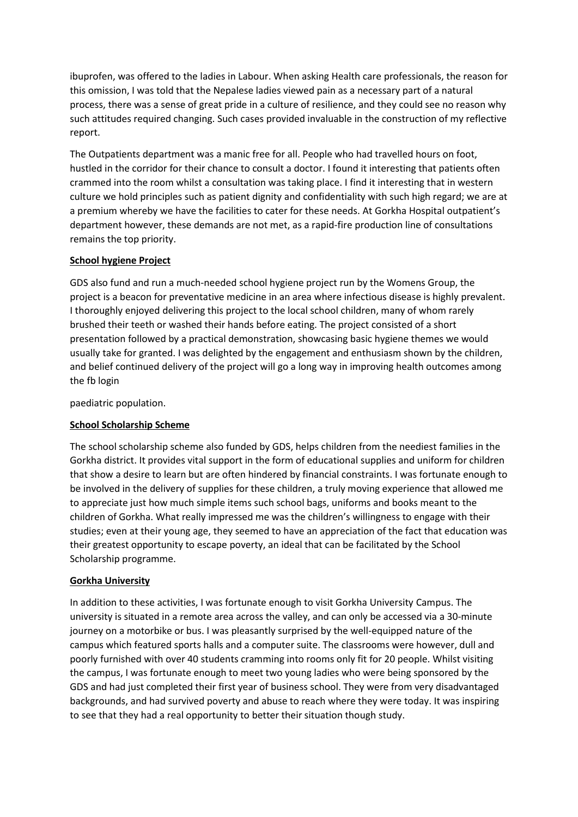ibuprofen, was offered to the ladies in Labour. When asking Health care professionals, the reason for this omission, I was told that the Nepalese ladies viewed pain as a necessary part of a natural process, there was a sense of great pride in a culture of resilience, and they could see no reason why such attitudes required changing. Such cases provided invaluable in the construction of my reflective report.

The Outpatients department was a manic free for all. People who had travelled hours on foot, hustled in the corridor for their chance to consult a doctor. I found it interesting that patients often crammed into the room whilst a consultation was taking place. I find it interesting that in western culture we hold principles such as patient dignity and confidentiality with such high regard; we are at a premium whereby we have the facilities to cater for these needs. At Gorkha Hospital outpatient's department however, these demands are not met, as a rapid-fire production line of consultations remains the top priority.

## **School hygiene Project**

GDS also fund and run a much-needed school hygiene project run by the Womens Group, the project is a beacon for preventative medicine in an area where infectious disease is highly prevalent. I thoroughly enjoyed delivering this project to the local school children, many of whom rarely brushed their teeth or washed their hands before eating. The project consisted of a short presentation followed by a practical demonstration, showcasing basic hygiene themes we would usually take for granted. I was delighted by the engagement and enthusiasm shown by the children, and belief continued delivery of the project will go a long way in improving health outcomes among the fb login

paediatric population.

# **School Scholarship Scheme**

The school scholarship scheme also funded by GDS, helps children from the neediest families in the Gorkha district. It provides vital support in the form of educational supplies and uniform for children that show a desire to learn but are often hindered by financial constraints. I was fortunate enough to be involved in the delivery of supplies for these children, a truly moving experience that allowed me to appreciate just how much simple items such school bags, uniforms and books meant to the children of Gorkha. What really impressed me was the children's willingness to engage with their studies; even at their young age, they seemed to have an appreciation of the fact that education was their greatest opportunity to escape poverty, an ideal that can be facilitated by the School Scholarship programme.

### **Gorkha University**

In addition to these activities, I was fortunate enough to visit Gorkha University Campus. The university is situated in a remote area across the valley, and can only be accessed via a 30-minute journey on a motorbike or bus. I was pleasantly surprised by the well-equipped nature of the campus which featured sports halls and a computer suite. The classrooms were however, dull and poorly furnished with over 40 students cramming into rooms only fit for 20 people. Whilst visiting the campus, I was fortunate enough to meet two young ladies who were being sponsored by the GDS and had just completed their first year of business school. They were from very disadvantaged backgrounds, and had survived poverty and abuse to reach where they were today. It was inspiring to see that they had a real opportunity to better their situation though study.